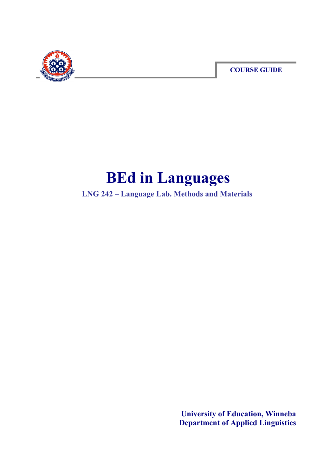

**COURSE GUIDE**

# **BEd in Languages**

**LNG 242 – Language Lab. Methods and Materials** 

**University of Education, Winneba Department of Applied Linguistics**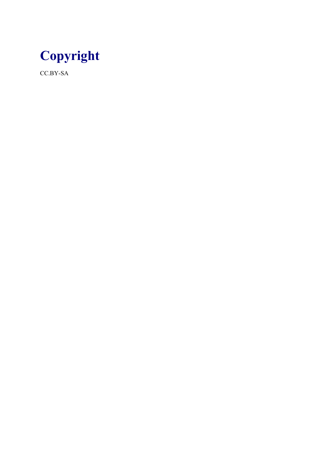

CC.BY-SA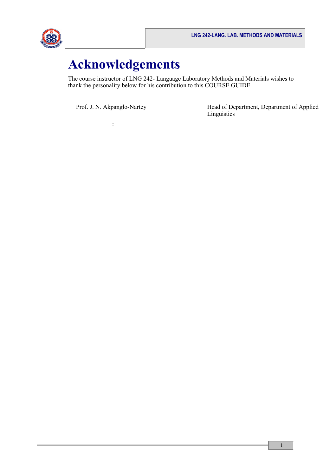

# **Acknowledgements**

The course instructor of LNG 242- Language Laboratory Methods and Materials wishes to thank the personality below for his contribution to this COURSE GUIDE

:

Prof. J. N. Akpanglo-Nartey Head of Department, Department of Applied Linguistics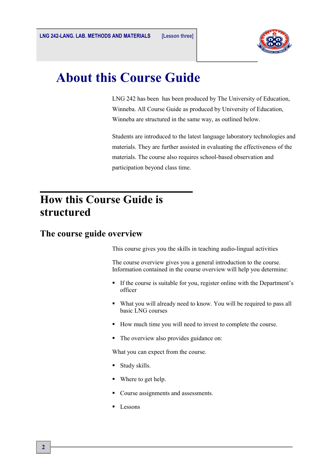

# **About this Course Guide**

LNG 242 has been has been produced by The University of Education, Winneba. All Course Guide as produced by University of Education, Winneba are structured in the same way, as outlined below.

Students are introduced to the latest language laboratory technologies and materials. They are further assisted in evaluating the effectiveness of the materials. The course also requires school-based observation and participation beyond class time.

### **How this Course Guide is structured**

#### **The course guide overview**

This course gives you the skills in teaching audio-lingual activities

The course overview gives you a general introduction to the course. Information contained in the course overview will help you determine:

- If the course is suitable for you, register online with the Department's officer
- What you will already need to know. You will be required to pass all basic LNG courses
- How much time you will need to invest to complete the course.
- The overview also provides guidance on:

What you can expect from the course.

- **Study skills.**
- Where to get help.
- Course assignments and assessments.
- **Lessons**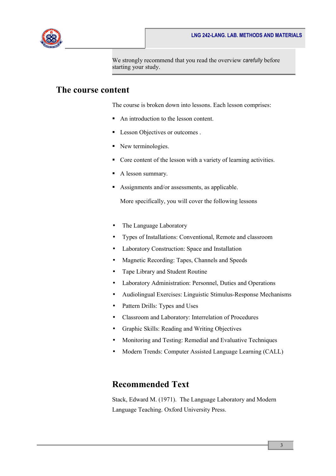

We strongly recommend that you read the overview *carefully* before starting your study.

#### **The course content**

The course is broken down into lessons. Each lesson comprises:

- An introduction to the lesson content.
- **Lesson Objectives or outcomes**.
- New terminologies.
- Core content of the lesson with a variety of learning activities.
- A lesson summary.
- Assignments and/or assessments, as applicable.

More specifically, you will cover the following lessons

- The Language Laboratory
- Types of Installations: Conventional, Remote and classroom
- Laboratory Construction: Space and Installation
- Magnetic Recording: Tapes, Channels and Speeds
- Tape Library and Student Routine
- Laboratory Administration: Personnel, Duties and Operations
- Audiolingual Exercises: Linguistic Stimulus-Response Mechanisms
- Pattern Drills: Types and Uses
- Classroom and Laboratory: Interrelation of Procedures
- Graphic Skills: Reading and Writing Objectives
- Monitoring and Testing: Remedial and Evaluative Techniques
- Modern Trends: Computer Assisted Language Learning (CALL)

#### **Recommended Text**

Stack, Edward M. (1971). The Language Laboratory and Modern Language Teaching. Oxford University Press.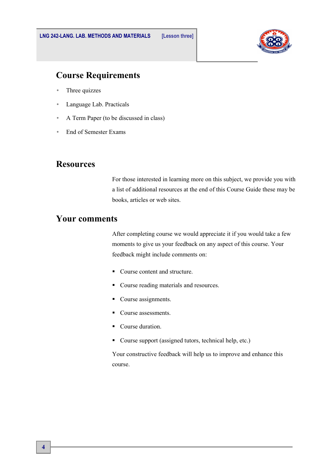

#### **Course Requirements**

- Three quizzes
- Language Lab. Practicals
- A Term Paper (to be discussed in class)
- End of Semester Exams

#### **Resources**

For those interested in learning more on this subject, we provide you with a list of additional resources at the end of this Course Guide these may be books, articles or web sites.

#### **Your comments**

After completing course we would appreciate it if you would take a few moments to give us your feedback on any aspect of this course. Your feedback might include comments on:

- Course content and structure.
- Course reading materials and resources.
- Course assignments.
- Course assessments.
- Course duration.
- Course support (assigned tutors, technical help, etc.)

Your constructive feedback will help us to improve and enhance this course.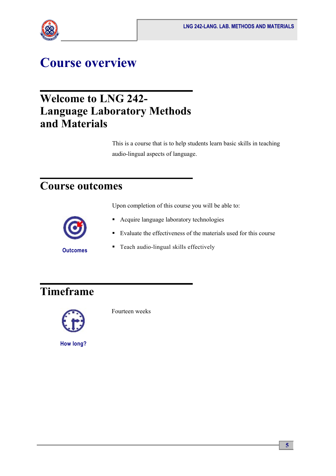

# **Course overview**

### **Welcome to LNG 242- Language Laboratory Methods and Materials**

This is a course that is to help students learn basic skills in teaching audio-lingual aspects of language.

### **Course outcomes**

Upon completion of this course you will be able to:



- **Acquire language laboratory technologies**
- Evaluate the effectiveness of the materials used for this course
- Teach audio-lingual skills effectively

# **Timeframe**



Fourteen weeks

**How long?**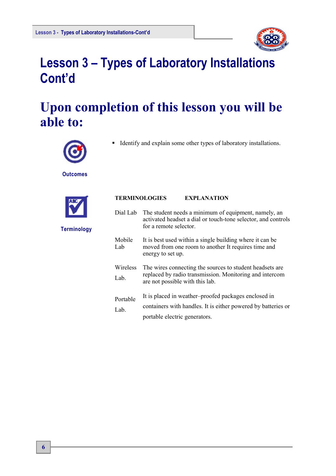

# **Lesson 3 – Types of Laboratory Installations Cont'd**

# **Upon completion of this lesson you will be able to:**



Identify and explain some other types of laboratory installations.

**Outcomes**



| <b>TERMINOLOGIES</b> | <b>EXPLANATION</b> |
|----------------------|--------------------|
|                      |                    |

| Dial Lab         | The student needs a minimum of equipment, namely, an<br>activated headset a dial or touch-tone selector, and controls<br>for a remote selector.        |
|------------------|--------------------------------------------------------------------------------------------------------------------------------------------------------|
| Mobile<br>Lab    | It is best used within a single building where it can be<br>moved from one room to another It requires time and<br>energy to set up.                   |
| Wireless<br>Lab. | The wires connecting the sources to student headsets are<br>replaced by radio transmission. Monitoring and intercom<br>are not possible with this lab. |
| Portable<br>Lab. | It is placed in weather-proofed packages enclosed in<br>containers with handles. It is either powered by batteries or<br>portable electric generators. |

**Terminology**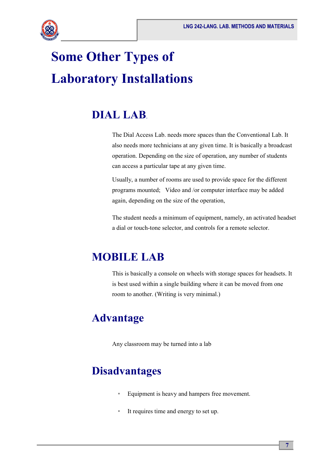

# **Some Other Types of Laboratory Installations**

## **DIAL LAB**.

The Dial Access Lab. needs more spaces than the Conventional Lab. It also needs more technicians at any given time. It is basically a broadcast operation. Depending on the size of operation, any number of students can access a particular tape at any given time.

Usually, a number of rooms are used to provide space for the different programs mounted; Video and /or computer interface may be added again, depending on the size of the operation,

The student needs a minimum of equipment, namely, an activated headset a dial or touch-tone selector, and controls for a remote selector.

## **MOBILE LAB**

This is basically a console on wheels with storage spaces for headsets. It is best used within a single building where it can be moved from one room to another. (Writing is very minimal.)

### **Advantage**

Any classroom may be turned into a lab

### **Disadvantages**

- Equipment is heavy and hampers free movement.
- It requires time and energy to set up.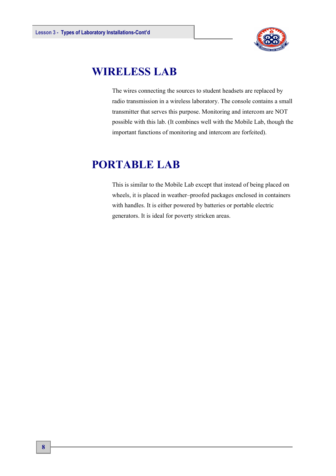

### **WIRELESS LAB**

The wires connecting the sources to student headsets are replaced by radio transmission in a wireless laboratory. The console contains a small transmitter that serves this purpose. Monitoring and intercom are NOT possible with this lab. (It combines well with the Mobile Lab, though the important functions of monitoring and intercom are forfeited).

### **PORTABLE LAB**

This is similar to the Mobile Lab except that instead of being placed on wheels, it is placed in weather–proofed packages enclosed in containers with handles. It is either powered by batteries or portable electric generators. It is ideal for poverty stricken areas.